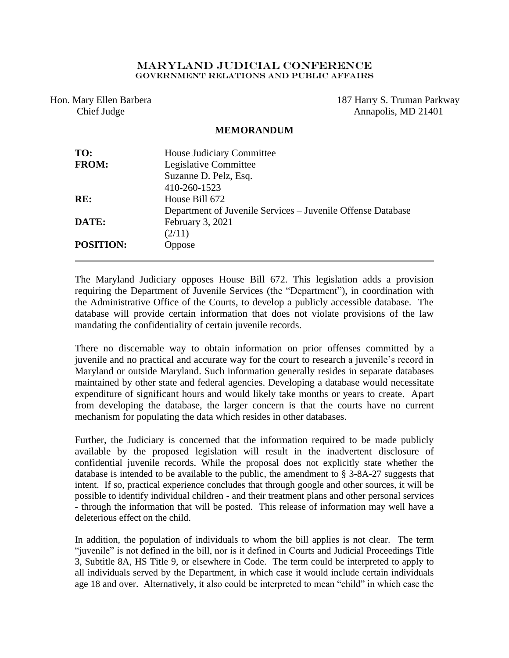## Maryland Judicial Conference Government Relations AND PUBLIC AFFAIRS

Hon. Mary Ellen Barbera Chief Judge

187 Harry S. Truman Parkway Annapolis, MD 21401

## **MEMORANDUM**

| TO:              | House Judiciary Committee                                   |
|------------------|-------------------------------------------------------------|
| <b>FROM:</b>     | Legislative Committee                                       |
|                  | Suzanne D. Pelz, Esq.                                       |
|                  | 410-260-1523                                                |
| RE:              | House Bill 672                                              |
|                  | Department of Juvenile Services – Juvenile Offense Database |
| DATE:            | February 3, 2021                                            |
|                  | (2/11)                                                      |
| <b>POSITION:</b> | Oppose                                                      |
|                  |                                                             |

The Maryland Judiciary opposes House Bill 672. This legislation adds a provision requiring the Department of Juvenile Services (the "Department"), in coordination with the Administrative Office of the Courts, to develop a publicly accessible database. The database will provide certain information that does not violate provisions of the law mandating the confidentiality of certain juvenile records.

There no discernable way to obtain information on prior offenses committed by a juvenile and no practical and accurate way for the court to research a juvenile's record in Maryland or outside Maryland. Such information generally resides in separate databases maintained by other state and federal agencies. Developing a database would necessitate expenditure of significant hours and would likely take months or years to create. Apart from developing the database, the larger concern is that the courts have no current mechanism for populating the data which resides in other databases.

Further, the Judiciary is concerned that the information required to be made publicly available by the proposed legislation will result in the inadvertent disclosure of confidential juvenile records. While the proposal does not explicitly state whether the database is intended to be available to the public, the amendment to § 3-8A-27 suggests that intent. If so, practical experience concludes that through google and other sources, it will be possible to identify individual children - and their treatment plans and other personal services - through the information that will be posted. This release of information may well have a deleterious effect on the child.

In addition, the population of individuals to whom the bill applies is not clear. The term "juvenile" is not defined in the bill, nor is it defined in Courts and Judicial Proceedings Title 3, Subtitle 8A, HS Title 9, or elsewhere in Code. The term could be interpreted to apply to all individuals served by the Department, in which case it would include certain individuals age 18 and over. Alternatively, it also could be interpreted to mean "child" in which case the